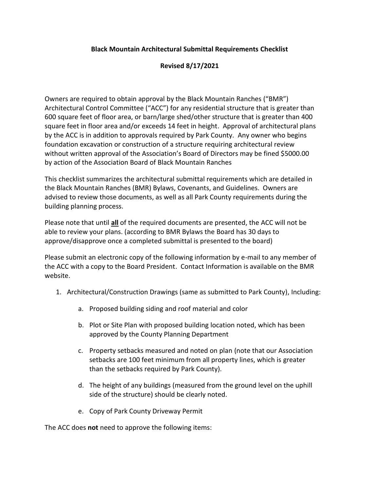## **Black Mountain Architectural Submittal Requirements Checklist**

## **Revised 8/17/2021**

Owners are required to obtain approval by the Black Mountain Ranches ("BMR") Architectural Control Committee ("ACC") for any residential structure that is greater than 600 square feet of floor area, or barn/large shed/other structure that is greater than 400 square feet in floor area and/or exceeds 14 feet in height. Approval of architectural plans by the ACC is in addition to approvals required by Park County. Any owner who begins foundation excavation or construction of a structure requiring architectural review without written approval of the Association's Board of Directors may be fined \$5000.00 by action of the Association Board of Black Mountain Ranches

This checklist summarizes the architectural submittal requirements which are detailed in the Black Mountain Ranches (BMR) Bylaws, Covenants, and Guidelines. Owners are advised to review those documents, as well as all Park County requirements during the building planning process.

Please note that until **all** of the required documents are presented, the ACC will not be able to review your plans. (according to BMR Bylaws the Board has 30 days to approve/disapprove once a completed submittal is presented to the board)

Please submit an electronic copy of the following information by e-mail to any member of the ACC with a copy to the Board President. Contact Information is available on the BMR website.

- 1. Architectural/Construction Drawings (same as submitted to Park County), Including:
	- a. Proposed building siding and roof material and color
	- b. Plot or Site Plan with proposed building location noted, which has been approved by the County Planning Department
	- c. Property setbacks measured and noted on plan (note that our Association setbacks are 100 feet minimum from all property lines, which is greater than the setbacks required by Park County).
	- d. The height of any buildings (measured from the ground level on the uphill side of the structure) should be clearly noted.
	- e. Copy of Park County Driveway Permit

The ACC does **not** need to approve the following items: